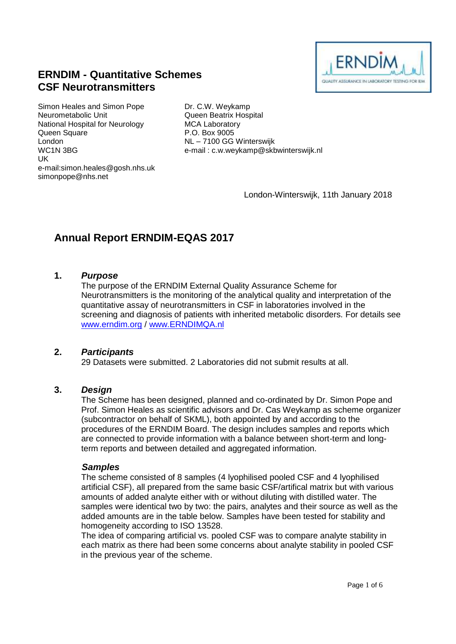

## **ERNDIM - Quantitative Schemes CSF Neurotransmitters**

Simon Heales and Simon Pope Neurometabolic Unit National Hospital for Neurology Queen Square London WC1N 3BG UK e-mail:simon.heales@gosh.nhs.uk simonpope@nhs.net

Dr. C.W. Weykamp Queen Beatrix Hospital MCA Laboratory P.O. Box 9005 NL – 7100 GG Winterswijk e-mail : c.w.weykamp@skbwinterswijk.nl

London-Winterswijk, 11th January 2018

# **Annual Report ERNDIM-EQAS 2017**

#### **1.** *Purpose*

The purpose of the ERNDIM External Quality Assurance Scheme for Neurotransmitters is the monitoring of the analytical quality and interpretation of the quantitative assay of neurotransmitters in CSF in laboratories involved in the screening and diagnosis of patients with inherited metabolic disorders. For details see [www.erndim.o](http://www.erndim.unibas.ch/)rg / [www.ERNDIMQA.nl](http://www.erndimqa.nl/)

#### **2.** *Participants*

29 Datasets were submitted. 2 Laboratories did not submit results at all.

#### **3.** *Design*

The Scheme has been designed, planned and co-ordinated by Dr. Simon Pope and Prof. Simon Heales as scientific advisors and Dr. Cas Weykamp as scheme organizer (subcontractor on behalf of SKML), both appointed by and according to the procedures of the ERNDIM Board. The design includes samples and reports which are connected to provide information with a balance between short-term and longterm reports and between detailed and aggregated information.

#### *Samples*

The scheme consisted of 8 samples (4 lyophilised pooled CSF and 4 lyophilised artificial CSF), all prepared from the same basic CSF/artifical matrix but with various amounts of added analyte either with or without diluting with distilled water. The samples were identical two by two: the pairs, analytes and their source as well as the added amounts are in the table below. Samples have been tested for stability and homogeneity according to ISO 13528.

The idea of comparing artificial vs. pooled CSF was to compare analyte stability in each matrix as there had been some concerns about analyte stability in pooled CSF in the previous year of the scheme.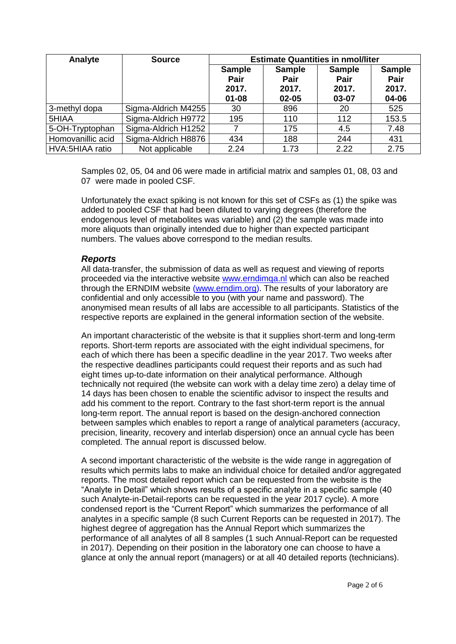| Analyte           | <b>Source</b>       | <b>Estimate Quantities in nmol/liter</b>    |                                                    |                                                |                                         |  |
|-------------------|---------------------|---------------------------------------------|----------------------------------------------------|------------------------------------------------|-----------------------------------------|--|
|                   |                     | <b>Sample</b><br>Pair<br>2017.<br>$01 - 08$ | <b>Sample</b><br><b>Pair</b><br>2017.<br>$02 - 05$ | <b>Sample</b><br><b>Pair</b><br>2017.<br>03-07 | <b>Sample</b><br>Pair<br>2017.<br>04-06 |  |
| 3-methyl dopa     | Sigma-Aldrich M4255 | 30                                          | 896                                                | 20                                             | 525                                     |  |
| 5HIAA             | Sigma-Aldrich H9772 | 195                                         | 110                                                | 112                                            | 153.5                                   |  |
| 5-OH-Tryptophan   | Sigma-Aldrich H1252 |                                             | 175                                                | 4.5                                            | 7.48                                    |  |
| Homovanillic acid | Sigma-Aldrich H8876 | 434                                         | 188                                                | 244                                            | 431                                     |  |
| HVA:5HIAA ratio   | Not applicable      | 2.24                                        | 1.73                                               | 2.22                                           | 2.75                                    |  |

Samples 02, 05, 04 and 06 were made in artificial matrix and samples 01, 08, 03 and 07 were made in pooled CSF.

Unfortunately the exact spiking is not known for this set of CSFs as (1) the spike was added to pooled CSF that had been diluted to varying degrees (therefore the endogenous level of metabolites was variable) and (2) the sample was made into more aliquots than originally intended due to higher than expected participant numbers. The values above correspond to the median results.

#### *Reports*

All data-transfer, the submission of data as well as request and viewing of reports proceeded via the interactive website [www.erndimqa.nl](http://www.erndimqa.nl/) which can also be reached through the ERNDIM website [\(www.erndim.org\)](http://www.erndim.org/). The results of your laboratory are confidential and only accessible to you (with your name and password). The anonymised mean results of all labs are accessible to all participants. Statistics of the respective reports are explained in the general information section of the website.

An important characteristic of the website is that it supplies short-term and long-term reports. Short-term reports are associated with the eight individual specimens, for each of which there has been a specific deadline in the year 2017. Two weeks after the respective deadlines participants could request their reports and as such had eight times up-to-date information on their analytical performance. Although technically not required (the website can work with a delay time zero) a delay time of 14 days has been chosen to enable the scientific advisor to inspect the results and add his comment to the report. Contrary to the fast short-term report is the annual long-term report. The annual report is based on the design-anchored connection between samples which enables to report a range of analytical parameters (accuracy, precision, linearity, recovery and interlab dispersion) once an annual cycle has been completed. The annual report is discussed below.

A second important characteristic of the website is the wide range in aggregation of results which permits labs to make an individual choice for detailed and/or aggregated reports. The most detailed report which can be requested from the website is the "Analyte in Detail" which shows results of a specific analyte in a specific sample (40 such Analyte-in-Detail-reports can be requested in the year 2017 cycle). A more condensed report is the "Current Report" which summarizes the performance of all analytes in a specific sample (8 such Current Reports can be requested in 2017). The highest degree of aggregation has the Annual Report which summarizes the performance of all analytes of all 8 samples (1 such Annual-Report can be requested in 2017). Depending on their position in the laboratory one can choose to have a glance at only the annual report (managers) or at all 40 detailed reports (technicians).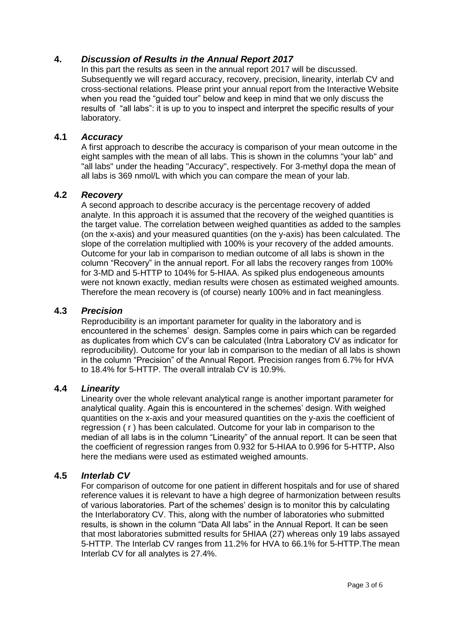## **4.** *Discussion of Results in the Annual Report 2017*

In this part the results as seen in the annual report 2017 will be discussed. Subsequently we will regard accuracy, recovery, precision, linearity, interlab CV and cross-sectional relations. Please print your annual report from the Interactive Website when you read the "guided tour" below and keep in mind that we only discuss the results of "all labs": it is up to you to inspect and interpret the specific results of your laboratory.

#### **4.1** *Accuracy*

A first approach to describe the accuracy is comparison of your mean outcome in the eight samples with the mean of all labs. This is shown in the columns "your lab" and "all labs" under the heading "Accuracy", respectively. For 3-methyl dopa the mean of all labs is 369 nmol/L with which you can compare the mean of your lab.

#### **4.2** *Recovery*

A second approach to describe accuracy is the percentage recovery of added analyte. In this approach it is assumed that the recovery of the weighed quantities is the target value. The correlation between weighed quantities as added to the samples (on the x-axis) and your measured quantities (on the y-axis) has been calculated. The slope of the correlation multiplied with 100% is your recovery of the added amounts. Outcome for your lab in comparison to median outcome of all labs is shown in the column "Recovery" in the annual report. For all labs the recovery ranges from 100% for 3-MD and 5-HTTP to 104% for 5-HIAA. As spiked plus endogeneous amounts were not known exactly, median results were chosen as estimated weighed amounts. Therefore the mean recovery is (of course) nearly 100% and in fact meaningless.

#### **4.3** *Precision*

Reproducibility is an important parameter for quality in the laboratory and is encountered in the schemes' design. Samples come in pairs which can be regarded as duplicates from which CV's can be calculated (Intra Laboratory CV as indicator for reproducibility). Outcome for your lab in comparison to the median of all labs is shown in the column "Precision" of the Annual Report. Precision ranges from 6.7% for HVA to 18.4% for 5-HTTP. The overall intralab CV is 10.9%.

#### **4.4** *Linearity*

Linearity over the whole relevant analytical range is another important parameter for analytical quality. Again this is encountered in the schemes' design. With weighed quantities on the x-axis and your measured quantities on the y-axis the coefficient of regression ( r ) has been calculated. Outcome for your lab in comparison to the median of all labs is in the column "Linearity" of the annual report. It can be seen that the coefficient of regression ranges from 0.932 for 5-HIAA to 0.996 for 5-HTTP**.** Also here the medians were used as estimated weighed amounts.

#### **4.5** *Interlab CV*

For comparison of outcome for one patient in different hospitals and for use of shared reference values it is relevant to have a high degree of harmonization between results of various laboratories. Part of the schemes' design is to monitor this by calculating the Interlaboratory CV. This, along with the number of laboratories who submitted results, is shown in the column "Data All labs" in the Annual Report. It can be seen that most laboratories submitted results for 5HIAA (27) whereas only 19 labs assayed 5-HTTP. The Interlab CV ranges from 11.2% for HVA to 66.1% for 5-HTTP.The mean Interlab CV for all analytes is 27.4%.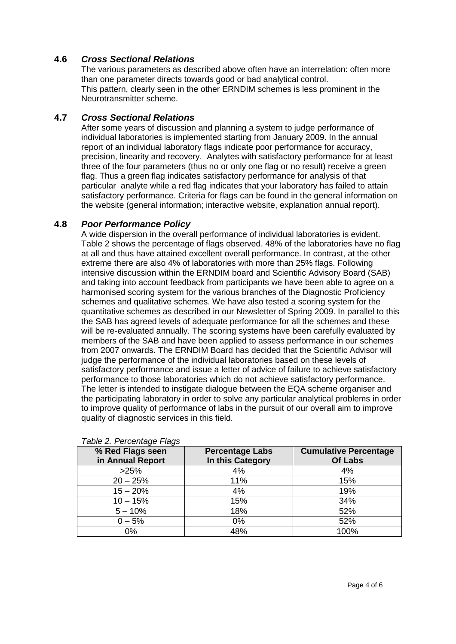## **4.6** *Cross Sectional Relations*

The various parameters as described above often have an interrelation: often more than one parameter directs towards good or bad analytical control. This pattern, clearly seen in the other ERNDIM schemes is less prominent in the Neurotransmitter scheme.

## **4.7** *Cross Sectional Relations*

After some years of discussion and planning a system to judge performance of individual laboratories is implemented starting from January 2009. In the annual report of an individual laboratory flags indicate poor performance for accuracy, precision, linearity and recovery. Analytes with satisfactory performance for at least three of the four parameters (thus no or only one flag or no result) receive a green flag. Thus a green flag indicates satisfactory performance for analysis of that particular analyte while a red flag indicates that your laboratory has failed to attain satisfactory performance. Criteria for flags can be found in the general information on the website (general information; interactive website, explanation annual report).

## **4.8** *Poor Performance Policy*

A wide dispersion in the overall performance of individual laboratories is evident. Table 2 shows the percentage of flags observed. 48% of the laboratories have no flag at all and thus have attained excellent overall performance. In contrast, at the other extreme there are also 4% of laboratories with more than 25% flags. Following intensive discussion within the ERNDIM board and Scientific Advisory Board (SAB) and taking into account feedback from participants we have been able to agree on a harmonised scoring system for the various branches of the Diagnostic Proficiency schemes and qualitative schemes. We have also tested a scoring system for the quantitative schemes as described in our Newsletter of Spring 2009. In parallel to this the SAB has agreed levels of adequate performance for all the schemes and these will be re-evaluated annually. The scoring systems have been carefully evaluated by members of the SAB and have been applied to assess performance in our schemes from 2007 onwards. The ERNDIM Board has decided that the Scientific Advisor will judge the performance of the individual laboratories based on these levels of satisfactory performance and issue a letter of advice of failure to achieve satisfactory performance to those laboratories which do not achieve satisfactory performance. The letter is intended to instigate dialogue between the EQA scheme organiser and the participating laboratory in order to solve any particular analytical problems in order to improve quality of performance of labs in the pursuit of our overall aim to improve quality of diagnostic services in this field.

| % Red Flags seen<br>in Annual Report | <b>Percentage Labs</b><br>In this Category | <b>Cumulative Percentage</b><br><b>Of Labs</b> |  |  |  |  |  |
|--------------------------------------|--------------------------------------------|------------------------------------------------|--|--|--|--|--|
| >25%                                 | 4%                                         | 4%                                             |  |  |  |  |  |
| $20 - 25%$                           | 11%                                        | 15%                                            |  |  |  |  |  |
| $15 - 20%$                           | 4%                                         | 19%                                            |  |  |  |  |  |
| $10 - 15%$                           | 15%                                        | 34%                                            |  |  |  |  |  |
| $5 - 10%$                            | 18%                                        | 52%                                            |  |  |  |  |  |
| $0 - 5%$                             | 0%                                         | 52%                                            |  |  |  |  |  |
| 0%                                   | 48%                                        | 100%                                           |  |  |  |  |  |

*Table 2. Percentage Flags*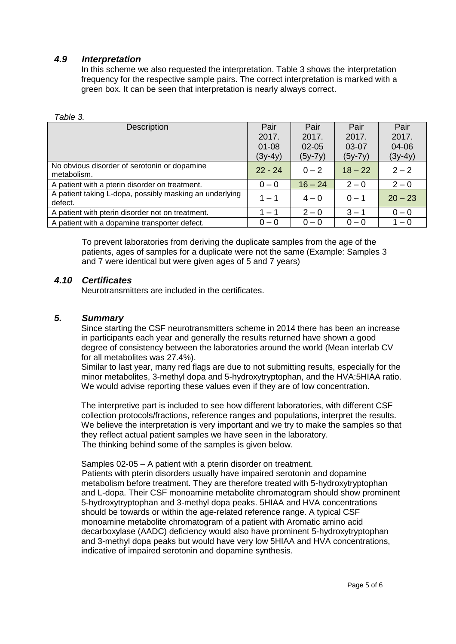#### *4.9 Interpretation*

In this scheme we also requested the interpretation. Table 3 shows the interpretation frequency for the respective sample pairs. The correct interpretation is marked with a green box. It can be seen that interpretation is nearly always correct.

| Table 3. |
|----------|
|----------|

| <b>Description</b>                                                 | Pair      | Pair      | Pair      | Pair      |
|--------------------------------------------------------------------|-----------|-----------|-----------|-----------|
|                                                                    | 2017.     | 2017.     | 2017.     | 2017.     |
|                                                                    | $01 - 08$ | $02 - 05$ | 03-07     | 04-06     |
|                                                                    | $(3y-4y)$ | $(5y-7y)$ | $(5y-7y)$ | $(3y-4y)$ |
| No obvious disorder of serotonin or dopamine<br>metabolism.        | $22 - 24$ | $0 - 2$   | $18 - 22$ | $2 - 2$   |
| A patient with a pterin disorder on treatment.                     | $0 - 0$   | $16 - 24$ | $2 - 0$   | $2 - 0$   |
| A patient taking L-dopa, possibly masking an underlying<br>defect. | $1 - 1$   | $4 - 0$   | $0 - 1$   | $20 - 23$ |
| A patient with pterin disorder not on treatment.                   | $-1$      | $2 - 0$   | $3 - 1$   | $0 - 0$   |
| A patient with a dopamine transporter defect.                      | $0 - 0$   | $0 - 0$   | $0 - 0$   | $1 - 0$   |

To prevent laboratories from deriving the duplicate samples from the age of the patients, ages of samples for a duplicate were not the same (Example: Samples 3 and 7 were identical but were given ages of 5 and 7 years)

## *4.10 Certificates*

Neurotransmitters are included in the certificates.

#### *5. Summary*

Since starting the CSF neurotransmitters scheme in 2014 there has been an increase in participants each year and generally the results returned have shown a good degree of consistency between the laboratories around the world (Mean interlab CV for all metabolites was 27.4%).

Similar to last year, many red flags are due to not submitting results, especially for the minor metabolites, 3-methyl dopa and 5-hydroxytryptophan, and the HVA:5HIAA ratio. We would advise reporting these values even if they are of low concentration.

The interpretive part is included to see how different laboratories, with different CSF collection protocols/fractions, reference ranges and populations, interpret the results. We believe the interpretation is very important and we try to make the samples so that they reflect actual patient samples we have seen in the laboratory. The thinking behind some of the samples is given below.

Samples 02-05 – A patient with a pterin disorder on treatment.

Patients with pterin disorders usually have impaired serotonin and dopamine metabolism before treatment. They are therefore treated with 5-hydroxytryptophan and L-dopa. Their CSF monoamine metabolite chromatogram should show prominent 5-hydroxytryptophan and 3-methyl dopa peaks. 5HIAA and HVA concentrations should be towards or within the age-related reference range. A typical CSF monoamine metabolite chromatogram of a patient with Aromatic amino acid decarboxylase (AADC) deficiency would also have prominent 5-hydroxytryptophan and 3-methyl dopa peaks but would have very low 5HIAA and HVA concentrations, indicative of impaired serotonin and dopamine synthesis.